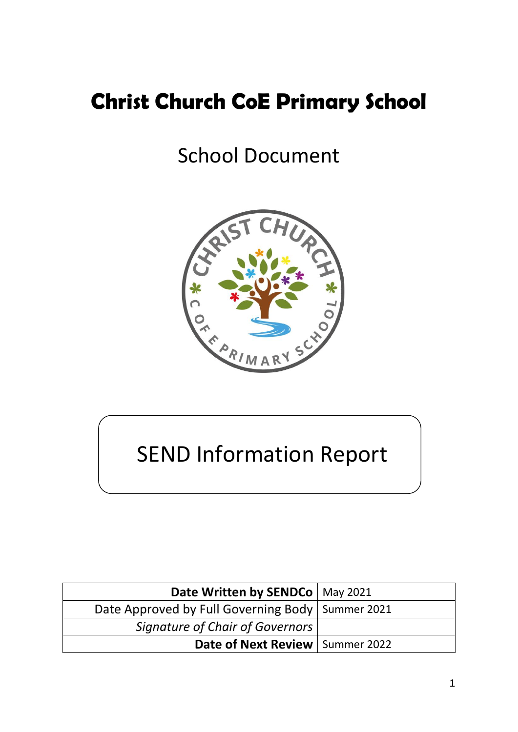## **Christ Church CoE Primary School**

## School Document



# SEND Information Report

| Date Written by SENDCo   May 2021                  |  |
|----------------------------------------------------|--|
| Date Approved by Full Governing Body   Summer 2021 |  |
| <b>Signature of Chair of Governors</b>             |  |
| Date of Next Review   Summer 2022                  |  |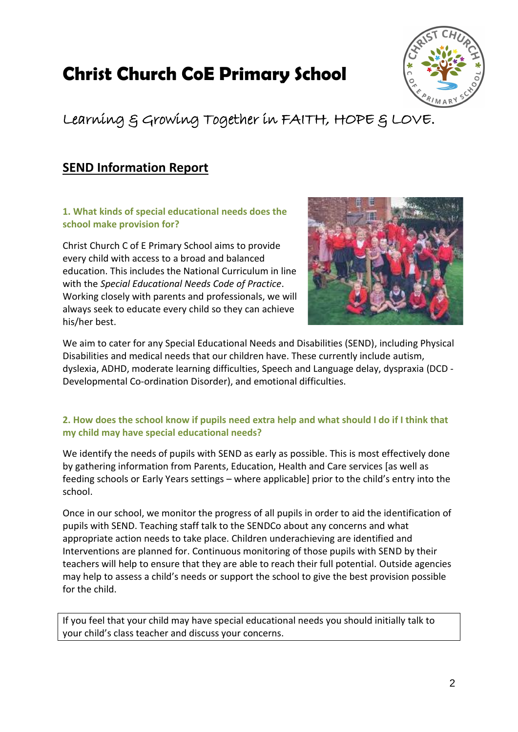## **Christ Church CoE Primary School**



## Learning & Growing Together in FAITH, HOPE & LOVE.

### **SEND Information Report**

**1. What kinds of special educational needs does the school make provision for?**

Christ Church C of E Primary School aims to provide every child with access to a broad and balanced education. This includes the National Curriculum in line with the *Special Educational Needs Code of Practice*. Working closely with parents and professionals, we will always seek to educate every child so they can achieve his/her best.



We aim to cater for any Special Educational Needs and Disabilities (SEND), including Physical Disabilities and medical needs that our children have. These currently include autism, dyslexia, ADHD, moderate learning difficulties, Speech and Language delay, dyspraxia (DCD - Developmental Co-ordination Disorder), and emotional difficulties.

#### **2. How does the school know if pupils need extra help and what should I do if I think that my child may have special educational needs?**

We identify the needs of pupils with SEND as early as possible. This is most effectively done by gathering information from Parents, Education, Health and Care services [as well as feeding schools or Early Years settings – where applicable] prior to the child's entry into the school.

Once in our school, we monitor the progress of all pupils in order to aid the identification of pupils with SEND. Teaching staff talk to the SENDCo about any concerns and what appropriate action needs to take place. Children underachieving are identified and Interventions are planned for. Continuous monitoring of those pupils with SEND by their teachers will help to ensure that they are able to reach their full potential. Outside agencies may help to assess a child's needs or support the school to give the best provision possible for the child.

If you feel that your child may have special educational needs you should initially talk to your child's class teacher and discuss your concerns.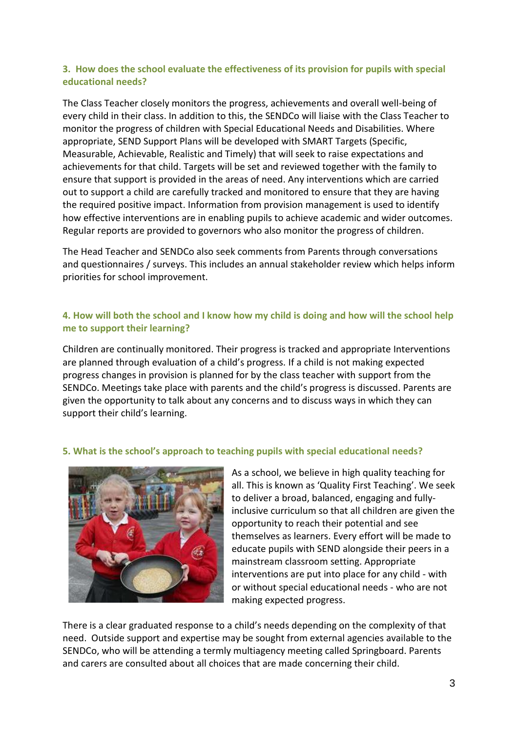#### **3. How does the school evaluate the effectiveness of its provision for pupils with special educational needs?**

The Class Teacher closely monitors the progress, achievements and overall well-being of every child in their class. In addition to this, the SENDCo will liaise with the Class Teacher to monitor the progress of children with Special Educational Needs and Disabilities. Where appropriate, SEND Support Plans will be developed with SMART Targets (Specific, Measurable, Achievable, Realistic and Timely) that will seek to raise expectations and achievements for that child. Targets will be set and reviewed together with the family to ensure that support is provided in the areas of need. Any interventions which are carried out to support a child are carefully tracked and monitored to ensure that they are having the required positive impact. Information from provision management is used to identify how effective interventions are in enabling pupils to achieve academic and wider outcomes. Regular reports are provided to governors who also monitor the progress of children.

The Head Teacher and SENDCo also seek comments from Parents through conversations and questionnaires / surveys. This includes an annual stakeholder review which helps inform priorities for school improvement.

#### **4. How will both the school and I know how my child is doing and how will the school help me to support their learning?**

Children are continually monitored. Their progress is tracked and appropriate Interventions are planned through evaluation of a child's progress. If a child is not making expected progress changes in provision is planned for by the class teacher with support from the SENDCo. Meetings take place with parents and the child's progress is discussed. Parents are given the opportunity to talk about any concerns and to discuss ways in which they can support their child's learning.

#### **5. What is the school's approach to teaching pupils with special educational needs?**



As a school, we believe in high quality teaching for all. This is known as 'Quality First Teaching'. We seek to deliver a broad, balanced, engaging and fullyinclusive curriculum so that all children are given the opportunity to reach their potential and see themselves as learners. Every effort will be made to educate pupils with SEND alongside their peers in a mainstream classroom setting. Appropriate interventions are put into place for any child - with or without special educational needs - who are not making expected progress.

There is a clear graduated response to a child's needs depending on the complexity of that need. Outside support and expertise may be sought from external agencies available to the SENDCo, who will be attending a termly multiagency meeting called Springboard. Parents and carers are consulted about all choices that are made concerning their child.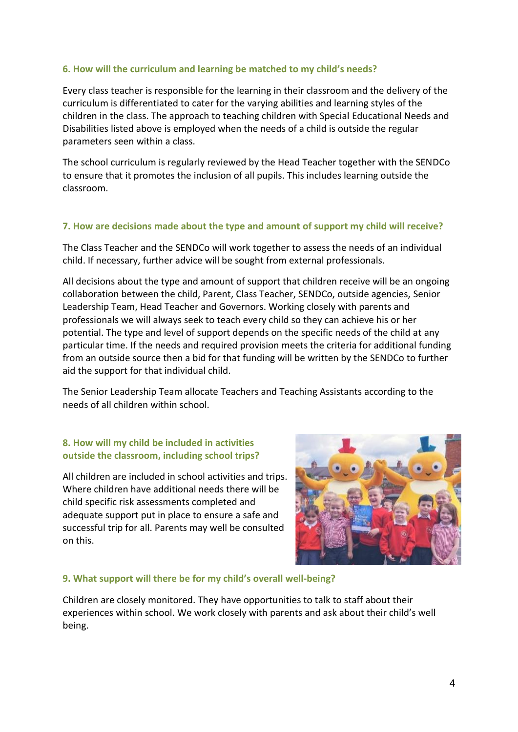#### **6. How will the curriculum and learning be matched to my child's needs?**

Every class teacher is responsible for the learning in their classroom and the delivery of the curriculum is differentiated to cater for the varying abilities and learning styles of the children in the class. The approach to teaching children with Special Educational Needs and Disabilities listed above is employed when the needs of a child is outside the regular parameters seen within a class.

The school curriculum is regularly reviewed by the Head Teacher together with the SENDCo to ensure that it promotes the inclusion of all pupils. This includes learning outside the classroom.

#### **7. How are decisions made about the type and amount of support my child will receive?**

The Class Teacher and the SENDCo will work together to assess the needs of an individual child. If necessary, further advice will be sought from external professionals.

All decisions about the type and amount of support that children receive will be an ongoing collaboration between the child, Parent, Class Teacher, SENDCo, outside agencies, Senior Leadership Team, Head Teacher and Governors. Working closely with parents and professionals we will always seek to teach every child so they can achieve his or her potential. The type and level of support depends on the specific needs of the child at any particular time. If the needs and required provision meets the criteria for additional funding from an outside source then a bid for that funding will be written by the SENDCo to further aid the support for that individual child.

The Senior Leadership Team allocate Teachers and Teaching Assistants according to the needs of all children within school.

#### **8. How will my child be included in activities outside the classroom, including school trips?**

All children are included in school activities and trips. Where children have additional needs there will be child specific risk assessments completed and adequate support put in place to ensure a safe and successful trip for all. Parents may well be consulted on this.



#### **9. What support will there be for my child's overall well-being?**

Children are closely monitored. They have opportunities to talk to staff about their experiences within school. We work closely with parents and ask about their child's well being.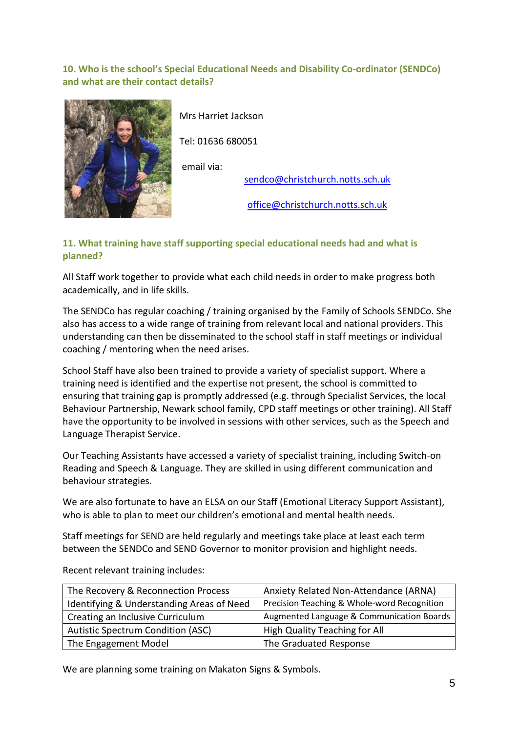#### **10. Who is the school's Special Educational Needs and Disability Co-ordinator (SENDCo) and what are their contact details?**



Mrs Harriet Jackson

Tel: 01636 680051

email via:

[sendco@christchurch.notts.sch.uk](mailto:sendco@christchurch.notts.sch.uk)

[office@christchurch.notts.sch.uk](mailto:office@christchurch.notts.sch.uk)

#### **11. What training have staff supporting special educational needs had and what is planned?**

All Staff work together to provide what each child needs in order to make progress both academically, and in life skills.

The SENDCo has regular coaching / training organised by the Family of Schools SENDCo. She also has access to a wide range of training from relevant local and national providers. This understanding can then be disseminated to the school staff in staff meetings or individual coaching / mentoring when the need arises.

School Staff have also been trained to provide a variety of specialist support. Where a training need is identified and the expertise not present, the school is committed to ensuring that training gap is promptly addressed (e.g. through Specialist Services, the local Behaviour Partnership, Newark school family, CPD staff meetings or other training). All Staff have the opportunity to be involved in sessions with other services, such as the Speech and Language Therapist Service.

Our Teaching Assistants have accessed a variety of specialist training, including Switch-on Reading and Speech & Language. They are skilled in using different communication and behaviour strategies.

We are also fortunate to have an ELSA on our Staff (Emotional Literacy Support Assistant), who is able to plan to meet our children's emotional and mental health needs.

Staff meetings for SEND are held regularly and meetings take place at least each term between the SENDCo and SEND Governor to monitor provision and highlight needs.

| The Recovery & Reconnection Process       | Anxiety Related Non-Attendance (ARNA)       |
|-------------------------------------------|---------------------------------------------|
| Identifying & Understanding Areas of Need | Precision Teaching & Whole-word Recognition |
| Creating an Inclusive Curriculum          | Augmented Language & Communication Boards   |
| <b>Autistic Spectrum Condition (ASC)</b>  | High Quality Teaching for All               |
| The Engagement Model                      | The Graduated Response                      |

Recent relevant training includes:

We are planning some training on Makaton Signs & Symbols.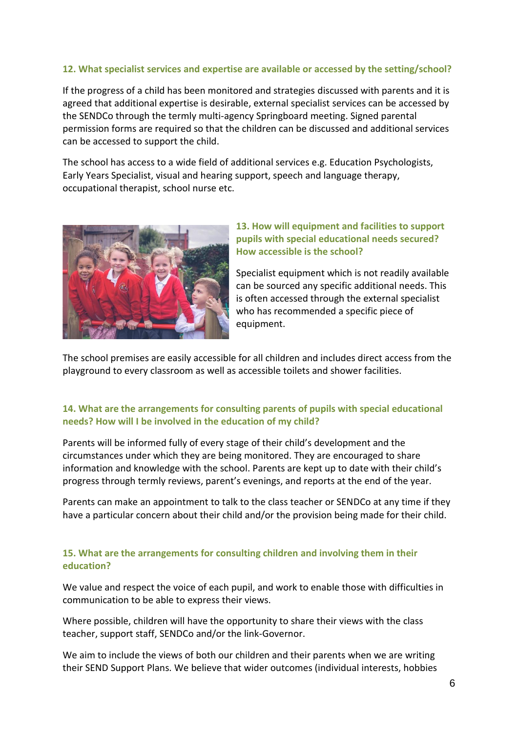#### **12. What specialist services and expertise are available or accessed by the setting/school?**

If the progress of a child has been monitored and strategies discussed with parents and it is agreed that additional expertise is desirable, external specialist services can be accessed by the SENDCo through the termly multi-agency Springboard meeting. Signed parental permission forms are required so that the children can be discussed and additional services can be accessed to support the child.

The school has access to a wide field of additional services e.g. Education Psychologists, Early Years Specialist, visual and hearing support, speech and language therapy, occupational therapist, school nurse etc.



#### **13. How will equipment and facilities to support pupils with special educational needs secured? How accessible is the school?**

Specialist equipment which is not readily available can be sourced any specific additional needs. This is often accessed through the external specialist who has recommended a specific piece of equipment.

The school premises are easily accessible for all children and includes direct access from the playground to every classroom as well as accessible toilets and shower facilities.

#### **14. What are the arrangements for consulting parents of pupils with special educational needs? How will I be involved in the education of my child?**

Parents will be informed fully of every stage of their child's development and the circumstances under which they are being monitored. They are encouraged to share information and knowledge with the school. Parents are kept up to date with their child's progress through termly reviews, parent's evenings, and reports at the end of the year.

Parents can make an appointment to talk to the class teacher or SENDCo at any time if they have a particular concern about their child and/or the provision being made for their child.

#### **15. What are the arrangements for consulting children and involving them in their education?**

We value and respect the voice of each pupil, and work to enable those with difficulties in communication to be able to express their views.

Where possible, children will have the opportunity to share their views with the class teacher, support staff, SENDCo and/or the link-Governor.

We aim to include the views of both our children and their parents when we are writing their SEND Support Plans. We believe that wider outcomes (individual interests, hobbies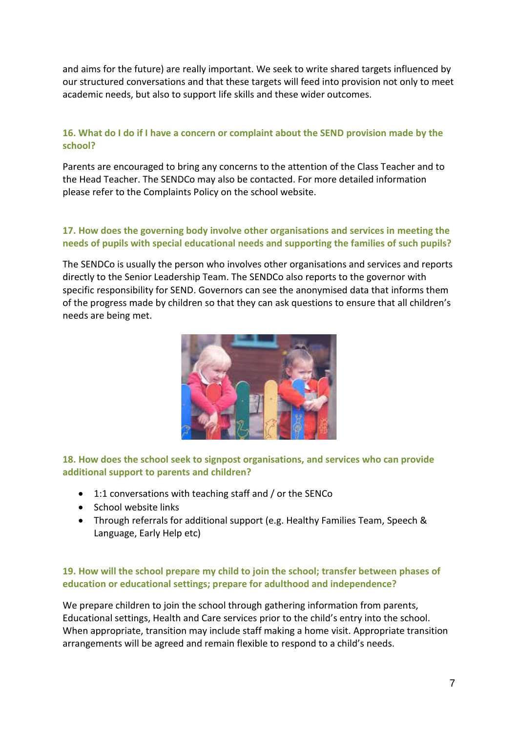and aims for the future) are really important. We seek to write shared targets influenced by our structured conversations and that these targets will feed into provision not only to meet academic needs, but also to support life skills and these wider outcomes.

#### **16. What do I do if I have a concern or complaint about the SEND provision made by the school?**

Parents are encouraged to bring any concerns to the attention of the Class Teacher and to the Head Teacher. The SENDCo may also be contacted. For more detailed information please refer to the Complaints Policy on the school website.

#### **17. How does the governing body involve other organisations and services in meeting the needs of pupils with special educational needs and supporting the families of such pupils?**

The SENDCo is usually the person who involves other organisations and services and reports directly to the Senior Leadership Team. The SENDCo also reports to the governor with specific responsibility for SEND. Governors can see the anonymised data that informs them of the progress made by children so that they can ask questions to ensure that all children's needs are being met.



**18. How does the school seek to signpost organisations, and services who can provide additional support to parents and children?**

- 1:1 conversations with teaching staff and / or the SENCo
- School website links
- Through referrals for additional support (e.g. Healthy Families Team, Speech & Language, Early Help etc)

#### **19. How will the school prepare my child to join the school; transfer between phases of education or educational settings; prepare for adulthood and independence?**

We prepare children to join the school through gathering information from parents, Educational settings, Health and Care services prior to the child's entry into the school. When appropriate, transition may include staff making a home visit. Appropriate transition arrangements will be agreed and remain flexible to respond to a child's needs.